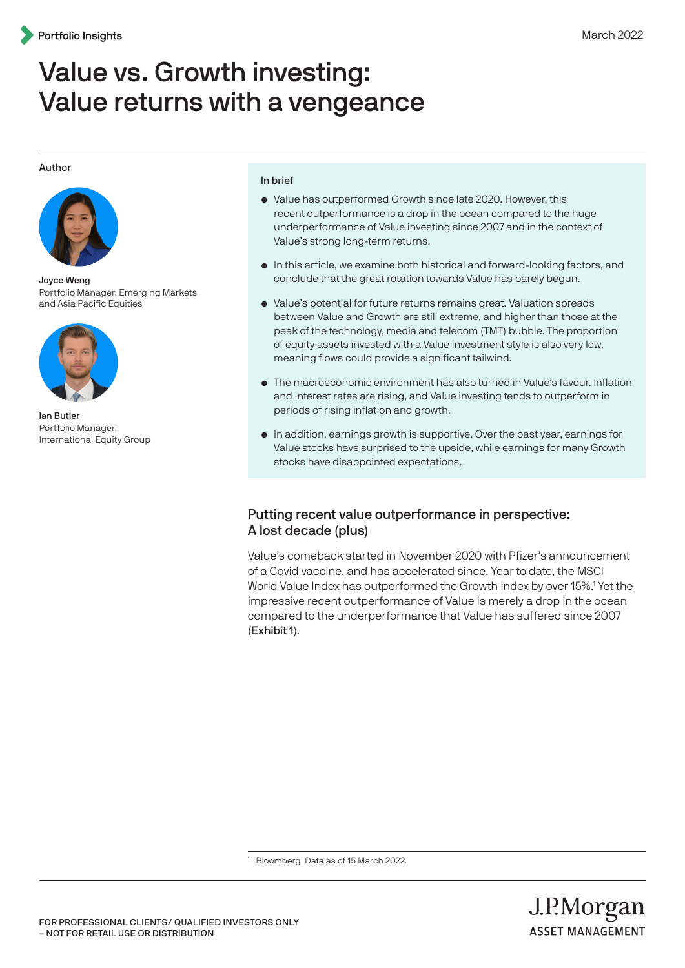# Value vs. Growth investing: Value returns with a vengeance

#### Author



Joyce Weng Portfolio Manager, Emerging Markets and Asia Pacific Equities



Ian Butler Portfolio Manager, International Equity Group

#### In brief

- Value has outperformed Growth since late 2020. However, this recent outperformance is a drop in the ocean compared to the huge underperformance of Value investing since 2007 and in the context of Value's strong long-term returns.
- In this article, we examine both historical and forward-looking factors, and conclude that the great rotation towards Value has barely begun.
- Value's potential for future returns remains great. Valuation spreads between Value and Growth are still extreme, and higher than those at the peak of the technology, media and telecom (TMT) bubble. The proportion of equity assets invested with a Value investment style is also very low, meaning flows could provide a significant tailwind.
- The macroeconomic environment has also turned in Value's favour. Inflation and interest rates are rising, and Value investing tends to outperform in periods of rising inflation and growth.
- In addition, earnings growth is supportive. Over the past year, earnings for Value stocks have surprised to the upside, while earnings for many Growth stocks have disappointed expectations.

## Putting recent value outperformance in perspective: A lost decade (plus)

Value's comeback started in November 2020 with Pfizer's announcement of a Covid vaccine, and has accelerated since. Year to date, the MSCI World Value Index has outperformed the Growth Index by over 15%.<sup>1</sup> Yet the impressive recent outperformance of Value is merely a drop in the ocean compared to the underperformance that Value has suffered since 2007 (Exhibit 1).

<sup>1</sup> Bloomberg. Data as of 15 March 2022.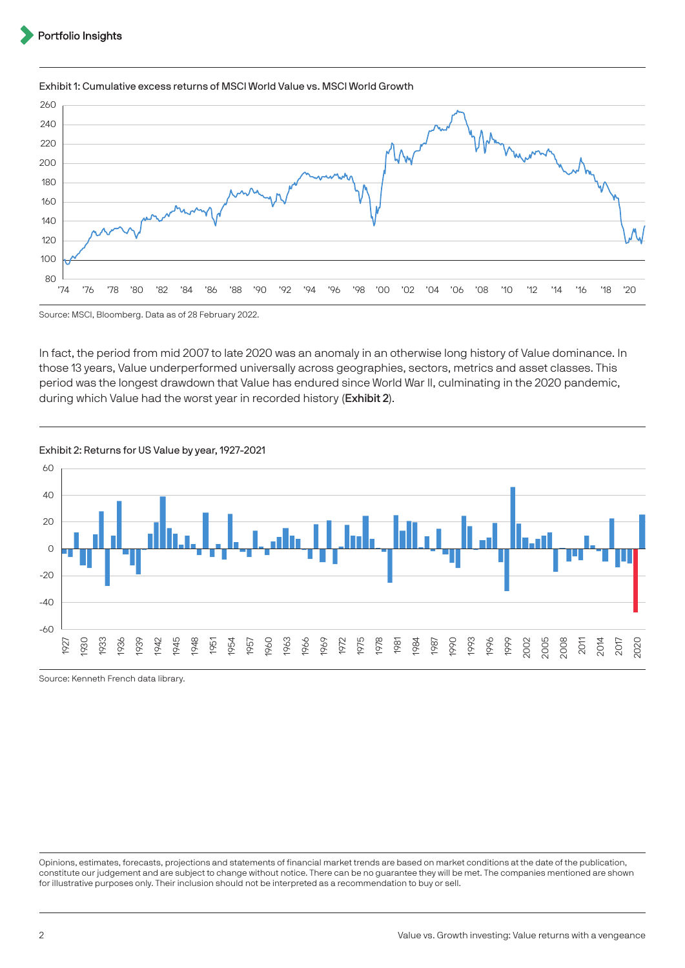## '74 '76 '78 '80 '82 '84 '86 '88 '90 '92 '94 '96 '98 '00 '02 '04 '06 '08 '10 '12 '14 '16 '18 '20 Source: MSCI, Bloomberg. Data as of 28 February 2022.

#### Exhibit 1: Cumulative excess returns of MSCI World Value vs. MSCI World Growth

In fact, the period from mid 2007 to late 2020 was an anomaly in an otherwise long history of Value dominance. In those 13 years, Value underperformed universally across geographies, sectors, metrics and asset classes. This period was the longest drawdown that Value has endured since World War II, culminating in the 2020 pandemic, during which Value had the worst year in recorded history (Exhibit 2).



Source: Kenneth French data library.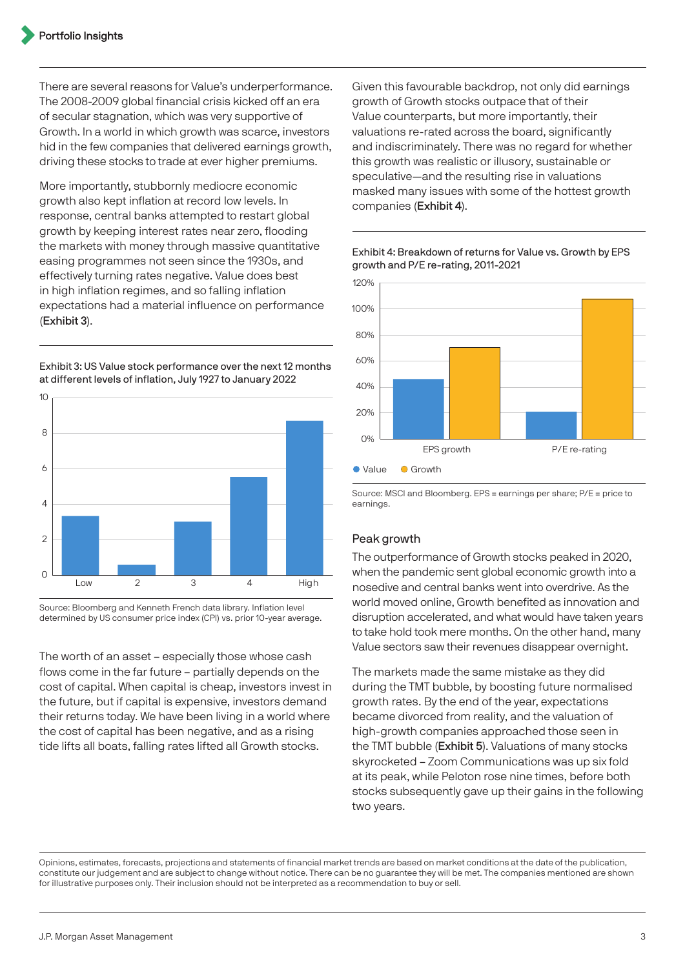There are several reasons for Value's underperformance. The 2008-2009 global financial crisis kicked off an era of secular stagnation, which was very supportive of Growth. In a world in which growth was scarce, investors hid in the few companies that delivered earnings growth, driving these stocks to trade at ever higher premiums.

More importantly, stubbornly mediocre economic growth also kept inflation at record low levels. In response, central banks attempted to restart global growth by keeping interest rates near zero, flooding the markets with money through massive quantitative easing programmes not seen since the 1930s, and effectively turning rates negative. Value does best in high inflation regimes, and so falling inflation expectations had a material influence on performance (Exhibit 3).

Exhibit 3: US Value stock performance over the next 12 months at different levels of inflation, July 1927 to January 2022



Source: Bloomberg and Kenneth French data library. Inflation level determined by US consumer price index (CPI) vs. prior 10-year average.

The worth of an asset – especially those whose cash flows come in the far future – partially depends on the cost of capital. When capital is cheap, investors invest in the future, but if capital is expensive, investors demand their returns today. We have been living in a world where the cost of capital has been negative, and as a rising tide lifts all boats, falling rates lifted all Growth stocks.

Given this favourable backdrop, not only did earnings growth of Growth stocks outpace that of their Value counterparts, but more importantly, their valuations re-rated across the board, significantly and indiscriminately. There was no regard for whether this growth was realistic or illusory, sustainable or speculative—and the resulting rise in valuations masked many issues with some of the hottest growth companies (Exhibit 4).



Exhibit 4: Breakdown of returns for Value vs. Growth by EPS growth and P/E re-rating, 2011-2021

Source: MSCI and Bloomberg. EPS = earnings per share; P/E = price to earnings.

## Peak growth

The outperformance of Growth stocks peaked in 2020, when the pandemic sent global economic growth into a nosedive and central banks went into overdrive. As the world moved online, Growth benefited as innovation and disruption accelerated, and what would have taken years to take hold took mere months. On the other hand, many Value sectors saw their revenues disappear overnight.

The markets made the same mistake as they did during the TMT bubble, by boosting future normalised growth rates. By the end of the year, expectations became divorced from reality, and the valuation of high-growth companies approached those seen in the TMT bubble (Exhibit 5). Valuations of many stocks skyrocketed – Zoom Communications was up six fold at its peak, while Peloton rose nine times, before both stocks subsequently gave up their gains in the following two years.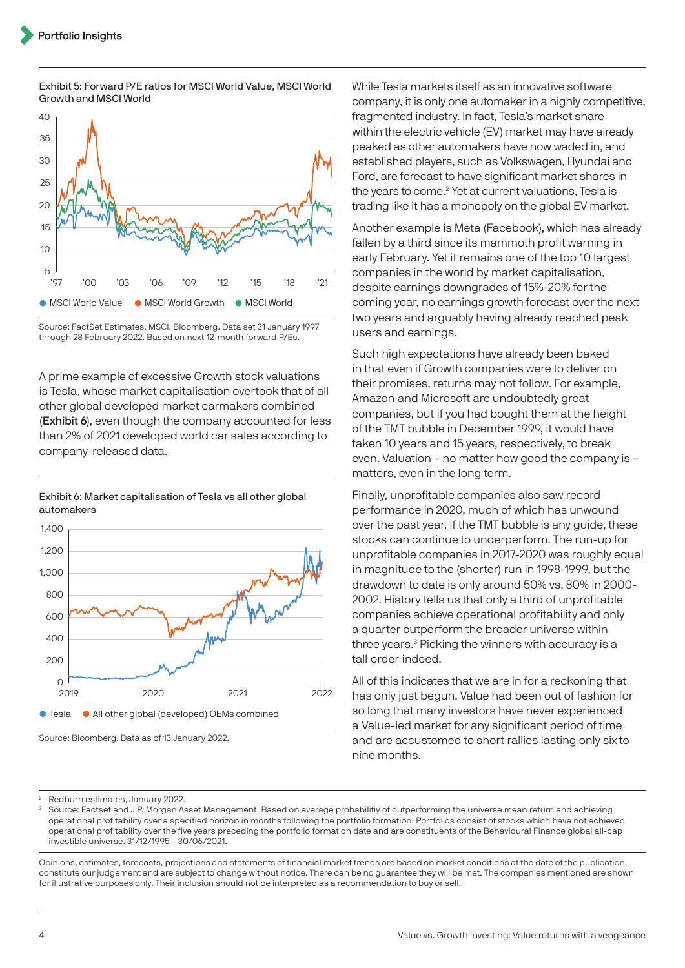

Exhibit 5: Forward P/E ratios for MSCI World Value, MSCI World Growth and MSCI World

Source: FactSet Estimates, MSCI, Bloomberg. Data set 31 January 1997 through 28 February 2022. Based on next 12-month forward P/Es.

A prime example of excessive Growth stock valuations is Tesla, whose market capitalisation overtook that of all other global developed market carmakers combined (Exhibit 6), even though the company accounted for less than 2% of 2021 developed world car sales according to company-released data.

Exhibit 6: Market capitalisation of Tesla vs all other global automakers



Source: Bloomberg. Data as of 13 January 2022.

While Tesla markets itself as an innovative software company, it is only one automaker in a highly competitive, fragmented industry. In fact, Tesla's market share within the electric vehicle (EV) market may have already peaked as other automakers have now waded in, and established players, such as Volkswagen, Hyundai and Ford, are forecast to have significant market shares in the years to come.<sup>2</sup> Yet at current valuations, Tesla is trading like it has a monopoly on the global EV market.

Another example is Meta (Facebook), which has already fallen by a third since its mammoth profit warning in early February. Yet it remains one of the top 10 largest companies in the world by market capitalisation, despite earnings downgrades of 15%-20% for the coming year, no earnings growth forecast over the next two years and arguably having already reached peak users and earnings.

Such high expectations have already been baked in that even if Growth companies were to deliver on their promises, returns may not follow. For example, Amazon and Microsoft are undoubtedly great companies, but if you had bought them at the height of the TMT bubble in December 1999, it would have taken 10 years and 15 years, respectively, to break even. Valuation – no matter how good the company is – matters, even in the long term.

Finally, unprofitable companies also saw record performance in 2020, much of which has unwound over the past year. If the TMT bubble is any guide, these stocks can continue to underperform. The run-up for unprofitable companies in 2017-2020 was roughly equal in magnitude to the (shorter) run in 1998-1999, but the drawdown to date is only around 50% vs. 80% in 2000- 2002. History tells us that only a third of unprofitable companies achieve operational profitability and only a quarter outperform the broader universe within three years.3 Picking the winners with accuracy is a tall order indeed.

All of this indicates that we are in for a reckoning that has only just begun. Value had been out of fashion for so long that many investors have never experienced a Value-led market for any significant period of time and are accustomed to short rallies lasting only six to nine months.

<sup>3</sup> Source: Factset and J.P. Morgan Asset Management. Based on average probabilitiy of outperforming the universe mean return and achieving operational profitability over a specified horizon in months following the portfolio formation. Portfolios consist of stocks which have not achieved operational profitability over the five years preceding the portfolio formation date and are constituents of the Behavioural Finance global all-cap investible universe. 31/12/1995 – 30/06/2021.

<sup>2</sup> Redburn estimates, January 2022.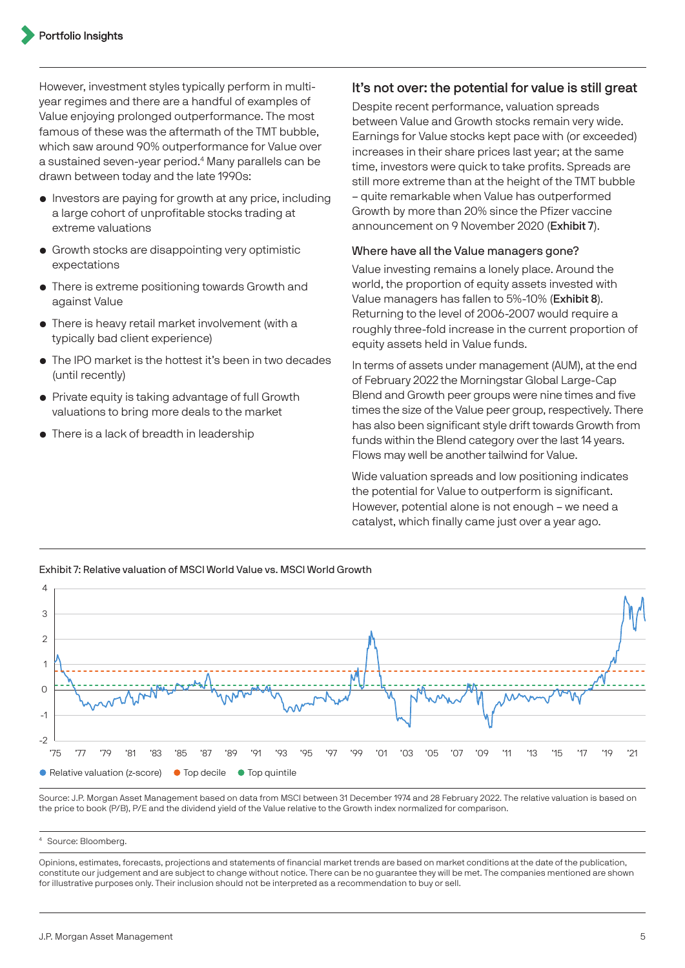However, investment styles typically perform in multiyear regimes and there are a handful of examples of Value enjoying prolonged outperformance. The most famous of these was the aftermath of the TMT bubble, which saw around 90% outperformance for Value over a sustained seven-year period.4 Many parallels can be drawn between today and the late 1990s:

- Investors are paying for growth at any price, including a large cohort of unprofitable stocks trading at extreme valuations
- Growth stocks are disappointing very optimistic expectations
- There is extreme positioning towards Growth and against Value
- There is heavy retail market involvement (with a typically bad client experience)
- The IPO market is the hottest it's been in two decades (until recently)
- Private equity is taking advantage of full Growth valuations to bring more deals to the market
- There is a lack of breadth in leadership

#### It's not over: the potential for value is still great

Despite recent performance, valuation spreads between Value and Growth stocks remain very wide. Earnings for Value stocks kept pace with (or exceeded) increases in their share prices last year; at the same time, investors were quick to take profits. Spreads are still more extreme than at the height of the TMT bubble – quite remarkable when Value has outperformed Growth by more than 20% since the Pfizer vaccine announcement on 9 November 2020 (Exhibit 7).

#### Where have all the Value managers gone?

Value investing remains a lonely place. Around the world, the proportion of equity assets invested with Value managers has fallen to 5%-10% (Exhibit 8). Returning to the level of 2006-2007 would require a roughly three-fold increase in the current proportion of equity assets held in Value funds.

In terms of assets under management (AUM), at the end of February 2022 the Morningstar Global Large-Cap Blend and Growth peer groups were nine times and five times the size of the Value peer group, respectively. There has also been significant style drift towards Growth from funds within the Blend category over the last 14 years. Flows may well be another tailwind for Value.

Wide valuation spreads and low positioning indicates the potential for Value to outperform is significant. However, potential alone is not enough – we need a catalyst, which finally came just over a year ago.



Exhibit 7: Relative valuation of MSCI World Value vs. MSCI World Growth

Source: J.P. Morgan Asset Management based on data from MSCI between 31 December 1974 and 28 February 2022. The relative valuation is based on the price to book (P/B), P/E and the dividend yield of the Value relative to the Growth index normalized for comparison.

#### <sup>4</sup> Source: Bloomberg.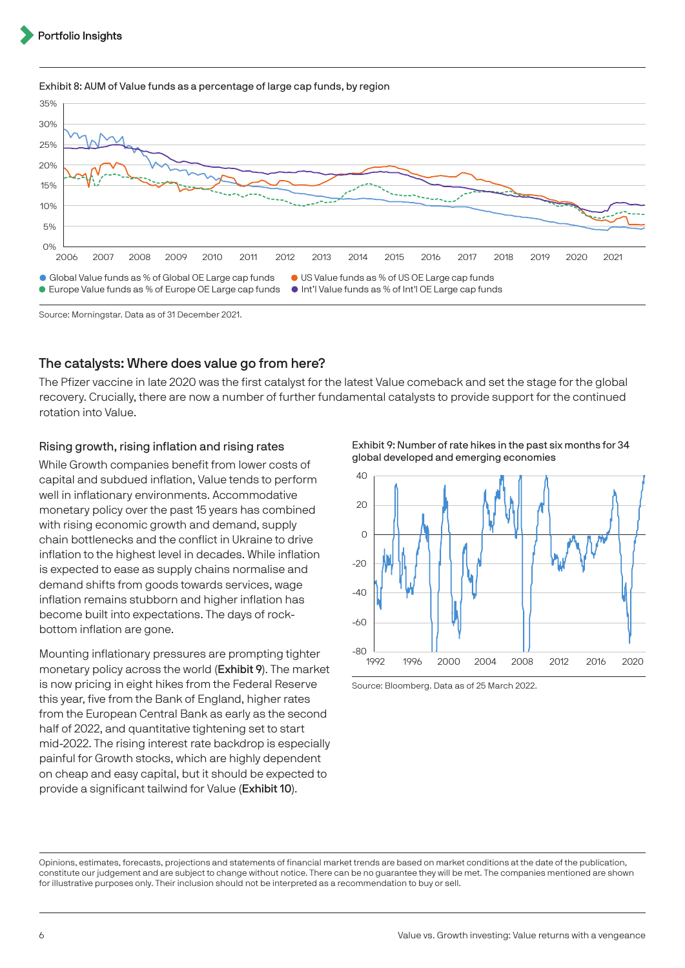



Source: Morningstar. Data as of 31 December 2021.

## The catalysts: Where does value go from here?

The Pfizer vaccine in late 2020 was the first catalyst for the latest Value comeback and set the stage for the global recovery. Crucially, there are now a number of further fundamental catalysts to provide support for the continued rotation into Value.

#### Rising growth, rising inflation and rising rates

While Growth companies benefit from lower costs of capital and subdued inflation, Value tends to perform well in inflationary environments. Accommodative monetary policy over the past 15 years has combined with rising economic growth and demand, supply chain bottlenecks and the conflict in Ukraine to drive inflation to the highest level in decades. While inflation is expected to ease as supply chains normalise and demand shifts from goods towards services, wage inflation remains stubborn and higher inflation has become built into expectations. The days of rockbottom inflation are gone.

Mounting inflationary pressures are prompting tighter monetary policy across the world (Exhibit 9). The market is now pricing in eight hikes from the Federal Reserve this year, five from the Bank of England, higher rates from the European Central Bank as early as the second half of 2022, and quantitative tightening set to start mid-2022. The rising interest rate backdrop is especially painful for Growth stocks, which are highly dependent on cheap and easy capital, but it should be expected to provide a significant tailwind for Value (Exhibit 10).

Exhibit 9: Number of rate hikes in the past six months for 34 global developed and emerging economies



Source: Bloomberg. Data as of 25 March 2022.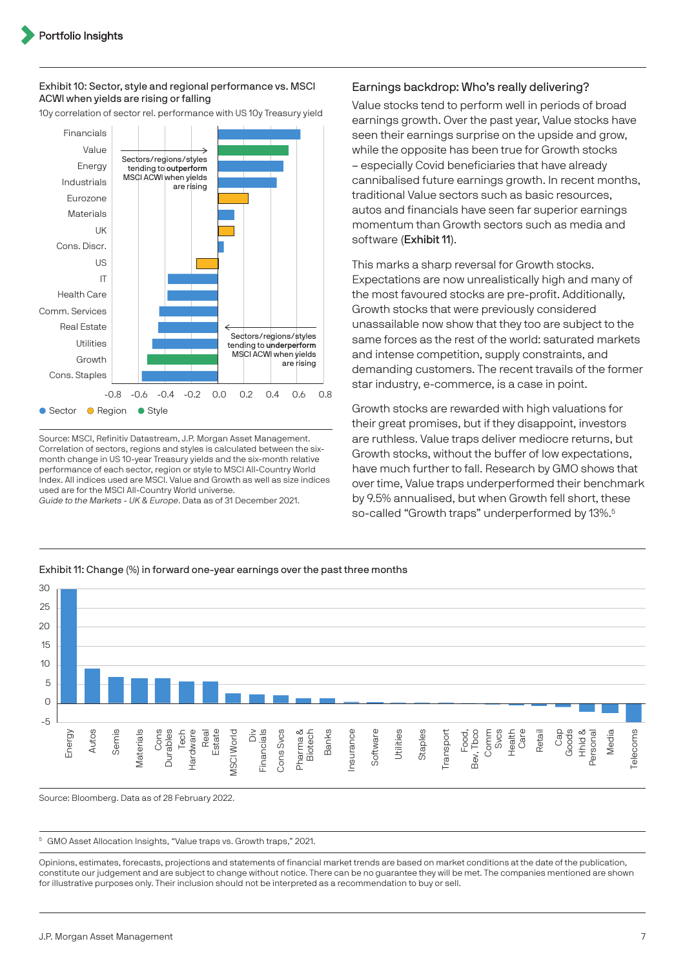#### Exhibit 10: Sector, style and regional performance vs. MSCI ACWI when yields are rising or falling

10y correlation of sector rel. performance with US 10y Treasury yield



Source: MSCI, Refinitiv Datastream, J.P. Morgan Asset Management. Correlation of sectors, regions and styles is calculated between the sixmonth change in US 10-year Treasury yields and the six-month relative performance of each sector, region or style to MSCI All-Country World Index. All indices used are MSCI. Value and Growth as well as size indices used are for the MSCI All-Country World universe. Guide to the Markets - UK & Europe. Data as of 31 December 2021.

#### Earnings backdrop: Who's really delivering?

Value stocks tend to perform well in periods of broad earnings growth. Over the past year, Value stocks have seen their earnings surprise on the upside and grow, while the opposite has been true for Growth stocks – especially Covid beneficiaries that have already cannibalised future earnings growth. In recent months, traditional Value sectors such as basic resources, autos and financials have seen far superior earnings momentum than Growth sectors such as media and software (Exhibit 11).

This marks a sharp reversal for Growth stocks. Expectations are now unrealistically high and many of the most favoured stocks are pre-profit. Additionally, Growth stocks that were previously considered unassailable now show that they too are subject to the same forces as the rest of the world: saturated markets and intense competition, supply constraints, and demanding customers. The recent travails of the former star industry, e-commerce, is a case in point.

Growth stocks are rewarded with high valuations for their great promises, but if they disappoint, investors are ruthless. Value traps deliver mediocre returns, but Growth stocks, without the buffer of low expectations, have much further to fall. Research by GMO shows that over time, Value traps underperformed their benchmark by 9.5% annualised, but when Growth fell short, these so-called "Growth traps" underperformed by 13%.<sup>5</sup>



Exhibit 11: Change (%) in forward one-year earnings over the past three months

Source: Bloomberg. Data as of 28 February 2022.

<sup>5</sup> GMO Asset Allocation Insights, "Value traps vs. Growth traps," 2021.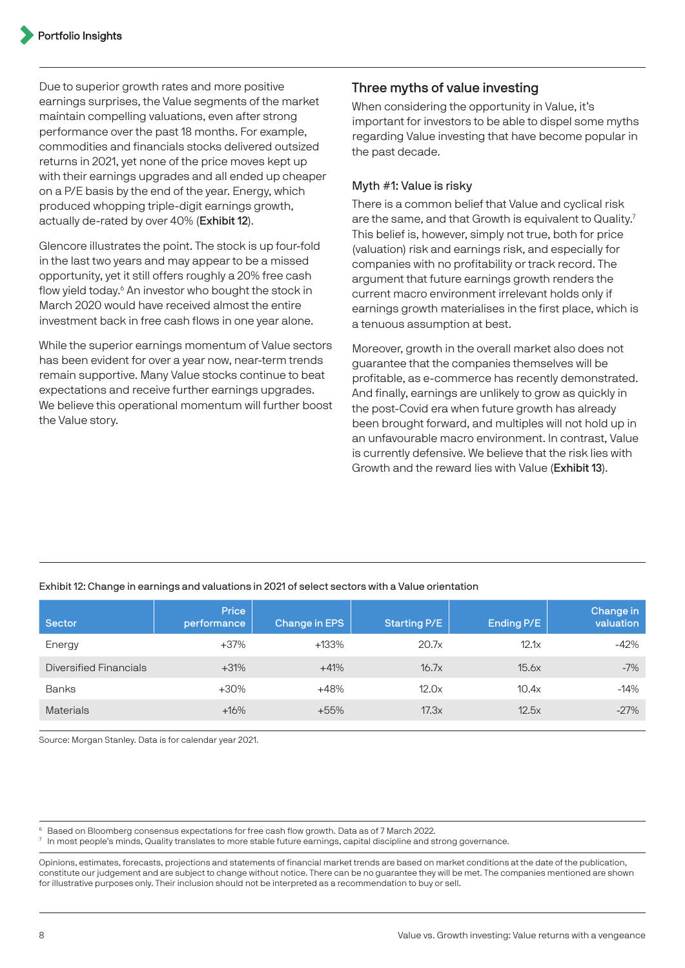Due to superior growth rates and more positive earnings surprises, the Value segments of the market maintain compelling valuations, even after strong performance over the past 18 months. For example, commodities and financials stocks delivered outsized returns in 2021, yet none of the price moves kept up with their earnings upgrades and all ended up cheaper on a P/E basis by the end of the year. Energy, which produced whopping triple-digit earnings growth, actually de-rated by over 40% (Exhibit 12).

Glencore illustrates the point. The stock is up four-fold in the last two years and may appear to be a missed opportunity, yet it still offers roughly a 20% free cash flow yield today.<sup>6</sup> An investor who bought the stock in March 2020 would have received almost the entire investment back in free cash flows in one year alone.

While the superior earnings momentum of Value sectors has been evident for over a year now, near-term trends remain supportive. Many Value stocks continue to beat expectations and receive further earnings upgrades. We believe this operational momentum will further boost the Value story.

## Three myths of value investing

When considering the opportunity in Value, it's important for investors to be able to dispel some myths regarding Value investing that have become popular in the past decade.

## Myth #1: Value is risky

There is a common belief that Value and cyclical risk are the same, and that Growth is equivalent to Quality.<sup>7</sup> This belief is, however, simply not true, both for price (valuation) risk and earnings risk, and especially for companies with no profitability or track record. The argument that future earnings growth renders the current macro environment irrelevant holds only if earnings growth materialises in the first place, which is a tenuous assumption at best.

Moreover, growth in the overall market also does not guarantee that the companies themselves will be profitable, as e-commerce has recently demonstrated. And finally, earnings are unlikely to grow as quickly in the post-Covid era when future growth has already been brought forward, and multiples will not hold up in an unfavourable macro environment. In contrast, Value is currently defensive. We believe that the risk lies with Growth and the reward lies with Value (Exhibit 13).

#### Exhibit 12: Change in earnings and valuations in 2021 of select sectors with a Value orientation

| <b>Sector</b>          | Price<br>performance | Change in EPS | <b>Starting P/E</b> | Ending P/E | Change in<br>valuation |
|------------------------|----------------------|---------------|---------------------|------------|------------------------|
| Energy                 | $+37%$               | +133%         | 20.7x               | 12.1x      | $-42%$                 |
| Diversified Financials | $+31%$               | $+41%$        | 16.7x               | 15.6x      | $-7%$                  |
| <b>Banks</b>           | $+30%$               | $+48%$        | 12.0x               | 10.4x      | $-14%$                 |
| <b>Materials</b>       | $+16%$               | $+55%$        | 17.3x               | 12.5x      | $-27%$                 |

Source: Morgan Stanley. Data is for calendar year 2021.

6 Based on Bloomberg consensus expectations for free cash flow growth. Data as of 7 March 2022.

 $7$  In most people's minds, Quality translates to more stable future earnings, capital discipline and strong governance.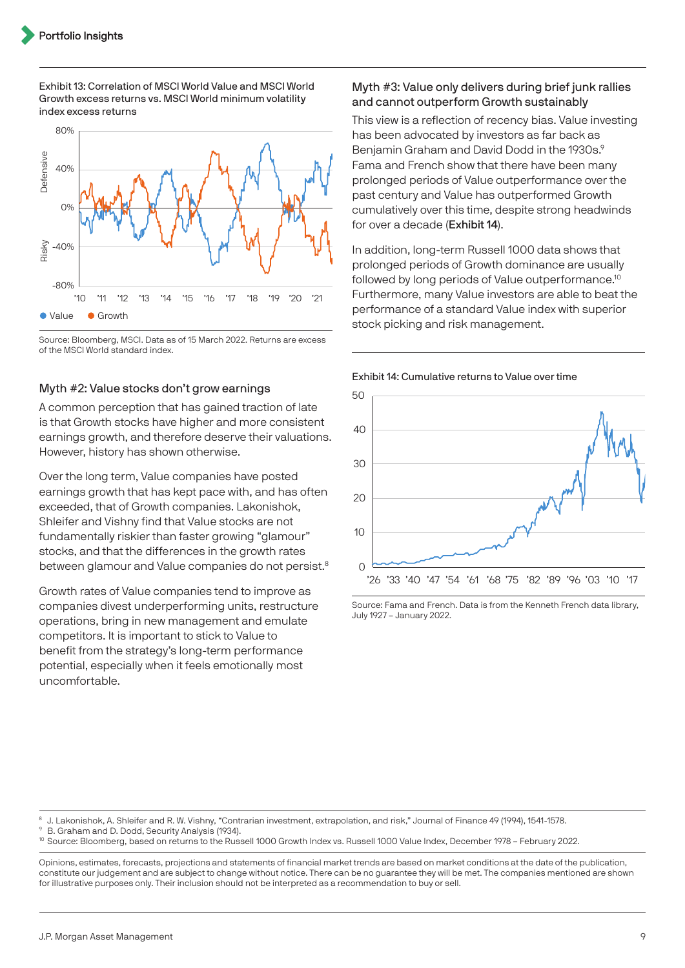Exhibit 13: Correlation of MSCI World Value and MSCI World Growth excess returns vs. MSCI World minimum volatility index excess returns



Source: Bloomberg, MSCI. Data as of 15 March 2022. Returns are excess of the MSCI World standard index.

#### Myth #2: Value stocks don't grow earnings

A common perception that has gained traction of late is that Growth stocks have higher and more consistent earnings growth, and therefore deserve their valuations. However, history has shown otherwise.

Over the long term, Value companies have posted earnings growth that has kept pace with, and has often exceeded, that of Growth companies. Lakonishok, Shleifer and Vishny find that Value stocks are not fundamentally riskier than faster growing "glamour" stocks, and that the differences in the growth rates between glamour and Value companies do not persist.<sup>8</sup>

Growth rates of Value companies tend to improve as companies divest underperforming units, restructure operations, bring in new management and emulate competitors. It is important to stick to Value to benefit from the strategy's long-term performance potential, especially when it feels emotionally most uncomfortable.

#### Myth #3: Value only delivers during brief junk rallies and cannot outperform Growth sustainably

This view is a reflection of recency bias. Value investing has been advocated by investors as far back as Benjamin Graham and David Dodd in the 1930s.<sup>9</sup> Fama and French show that there have been many prolonged periods of Value outperformance over the past century and Value has outperformed Growth cumulatively over this time, despite strong headwinds for over a decade (Exhibit 14).

In addition, long-term Russell 1000 data shows that prolonged periods of Growth dominance are usually followed by long periods of Value outperformance.10 Furthermore, many Value investors are able to beat the performance of a standard Value index with superior stock picking and risk management.



Exhibit 14: Cumulative returns to Value over time

Source: Fama and French. Data is from the Kenneth French data library, July 1927 – January 2022.

8 J. Lakonishok, A. Shleifer and R. W. Vishny, "Contrarian investment, extrapolation, and risk," Journal of Finance 49 (1994), 1541-1578.

B. Graham and D. Dodd, Security Analysis (1934).

<sup>10</sup> Source: Bloomberg, based on returns to the Russell 1000 Growth Index vs. Russell 1000 Value Index, December 1978 - February 2022.